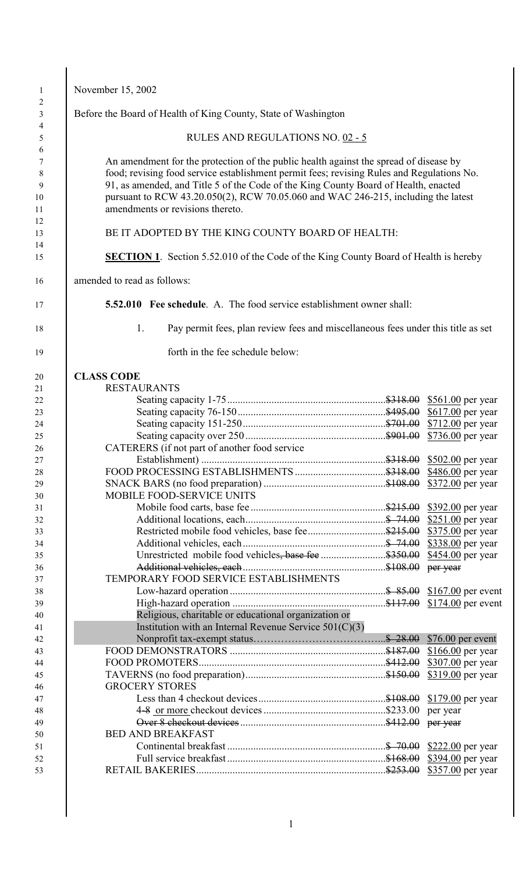| November 15, 2002                |                                                                                                                                                                                                                                                                                                                                                                |                                        |
|----------------------------------|----------------------------------------------------------------------------------------------------------------------------------------------------------------------------------------------------------------------------------------------------------------------------------------------------------------------------------------------------------------|----------------------------------------|
|                                  | Before the Board of Health of King County, State of Washington                                                                                                                                                                                                                                                                                                 |                                        |
|                                  | RULES AND REGULATIONS NO. 02 - 5                                                                                                                                                                                                                                                                                                                               |                                        |
| amendments or revisions thereto. | An amendment for the protection of the public health against the spread of disease by<br>food; revising food service establishment permit fees; revising Rules and Regulations No.<br>91, as amended, and Title 5 of the Code of the King County Board of Health, enacted<br>pursuant to RCW 43.20.050(2), RCW 70.05.060 and WAC 246-215, including the latest |                                        |
|                                  | BE IT ADOPTED BY THE KING COUNTY BOARD OF HEALTH:                                                                                                                                                                                                                                                                                                              |                                        |
|                                  | <b>SECTION 1.</b> Section 5.52.010 of the Code of the King County Board of Health is hereby                                                                                                                                                                                                                                                                    |                                        |
| amended to read as follows:      |                                                                                                                                                                                                                                                                                                                                                                |                                        |
|                                  | <b>5.52.010</b> Fee schedule. A. The food service establishment owner shall:                                                                                                                                                                                                                                                                                   |                                        |
| 1.                               | Pay permit fees, plan review fees and miscellaneous fees under this title as set                                                                                                                                                                                                                                                                               |                                        |
|                                  | forth in the fee schedule below:                                                                                                                                                                                                                                                                                                                               |                                        |
| <b>CLASS CODE</b>                |                                                                                                                                                                                                                                                                                                                                                                |                                        |
| <b>RESTAURANTS</b>               |                                                                                                                                                                                                                                                                                                                                                                |                                        |
|                                  |                                                                                                                                                                                                                                                                                                                                                                |                                        |
|                                  |                                                                                                                                                                                                                                                                                                                                                                | \$617.00 per year                      |
|                                  |                                                                                                                                                                                                                                                                                                                                                                |                                        |
|                                  |                                                                                                                                                                                                                                                                                                                                                                |                                        |
|                                  |                                                                                                                                                                                                                                                                                                                                                                |                                        |
|                                  |                                                                                                                                                                                                                                                                                                                                                                |                                        |
|                                  | CATERERS (if not part of another food service)                                                                                                                                                                                                                                                                                                                 |                                        |
|                                  |                                                                                                                                                                                                                                                                                                                                                                |                                        |
|                                  |                                                                                                                                                                                                                                                                                                                                                                |                                        |
|                                  |                                                                                                                                                                                                                                                                                                                                                                |                                        |
| MOBILE FOOD-SERVICE UNITS        |                                                                                                                                                                                                                                                                                                                                                                |                                        |
|                                  |                                                                                                                                                                                                                                                                                                                                                                |                                        |
|                                  |                                                                                                                                                                                                                                                                                                                                                                |                                        |
|                                  |                                                                                                                                                                                                                                                                                                                                                                | \$736.00 per year<br>\$375.00 per year |
|                                  |                                                                                                                                                                                                                                                                                                                                                                |                                        |
|                                  | Unrestricted mobile food vehicles, base fee \$350.00                                                                                                                                                                                                                                                                                                           |                                        |
|                                  |                                                                                                                                                                                                                                                                                                                                                                | per year                               |
|                                  | TEMPORARY FOOD SERVICE ESTABLISHMENTS                                                                                                                                                                                                                                                                                                                          |                                        |
|                                  |                                                                                                                                                                                                                                                                                                                                                                | \$454.00 per year                      |
|                                  |                                                                                                                                                                                                                                                                                                                                                                |                                        |
|                                  |                                                                                                                                                                                                                                                                                                                                                                |                                        |
|                                  | Religious, charitable or educational organization or                                                                                                                                                                                                                                                                                                           |                                        |
|                                  | Institution with an Internal Revenue Service $501(C)(3)$                                                                                                                                                                                                                                                                                                       |                                        |
|                                  |                                                                                                                                                                                                                                                                                                                                                                |                                        |
|                                  |                                                                                                                                                                                                                                                                                                                                                                |                                        |
|                                  |                                                                                                                                                                                                                                                                                                                                                                |                                        |
|                                  |                                                                                                                                                                                                                                                                                                                                                                | \$166.00 per year<br>\$307.00 per year |
| <b>GROCERY STORES</b>            |                                                                                                                                                                                                                                                                                                                                                                |                                        |
|                                  |                                                                                                                                                                                                                                                                                                                                                                |                                        |
|                                  |                                                                                                                                                                                                                                                                                                                                                                | per year                               |
|                                  |                                                                                                                                                                                                                                                                                                                                                                | per year                               |
| <b>BED AND BREAKFAST</b>         |                                                                                                                                                                                                                                                                                                                                                                |                                        |
|                                  |                                                                                                                                                                                                                                                                                                                                                                |                                        |
|                                  |                                                                                                                                                                                                                                                                                                                                                                | \$394.00 per year                      |

 $\mathsf{l}$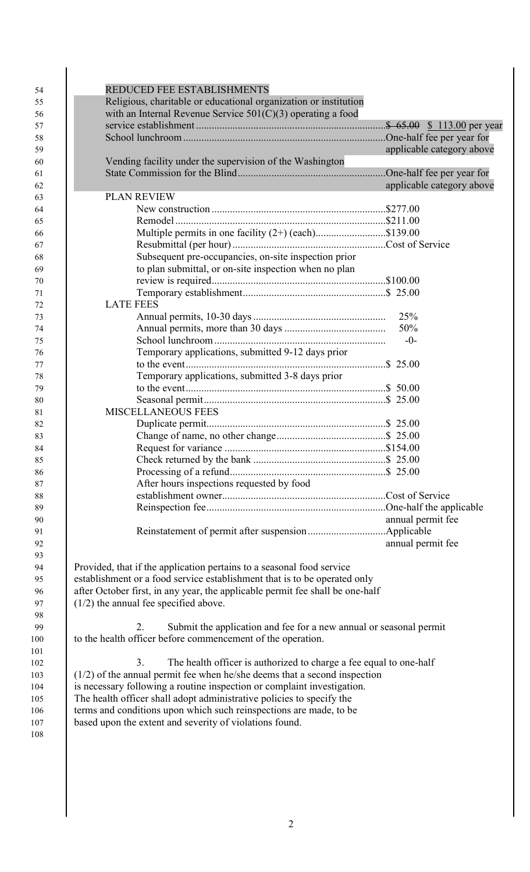| with an Internal Revenue Service $501(C)(3)$ operating a food                                                                               |                           |
|---------------------------------------------------------------------------------------------------------------------------------------------|---------------------------|
|                                                                                                                                             |                           |
|                                                                                                                                             | applicable category above |
| Vending facility under the supervision of the Washington                                                                                    |                           |
|                                                                                                                                             |                           |
|                                                                                                                                             | applicable category above |
| <b>PLAN REVIEW</b>                                                                                                                          |                           |
|                                                                                                                                             |                           |
|                                                                                                                                             |                           |
| Multiple permits in one facility (2+) (each)\$139.00                                                                                        |                           |
| Subsequent pre-occupancies, on-site inspection prior                                                                                        |                           |
| to plan submittal, or on-site inspection when no plan                                                                                       |                           |
|                                                                                                                                             |                           |
|                                                                                                                                             |                           |
| <b>LATE FEES</b>                                                                                                                            |                           |
|                                                                                                                                             | 25%                       |
|                                                                                                                                             | 50%                       |
|                                                                                                                                             | $-0-$                     |
| Temporary applications, submitted 9-12 days prior                                                                                           |                           |
|                                                                                                                                             |                           |
| Temporary applications, submitted 3-8 days prior                                                                                            |                           |
|                                                                                                                                             |                           |
|                                                                                                                                             |                           |
| <b>MISCELLANEOUS FEES</b>                                                                                                                   |                           |
|                                                                                                                                             |                           |
|                                                                                                                                             |                           |
|                                                                                                                                             |                           |
|                                                                                                                                             |                           |
| After hours inspections requested by food                                                                                                   |                           |
|                                                                                                                                             |                           |
|                                                                                                                                             |                           |
|                                                                                                                                             | annual permit fee         |
|                                                                                                                                             |                           |
|                                                                                                                                             | annual permit fee         |
|                                                                                                                                             |                           |
| Provided, that if the application pertains to a seasonal food service                                                                       |                           |
| establishment or a food service establishment that is to be operated only                                                                   |                           |
| after October first, in any year, the applicable permit fee shall be one-half                                                               |                           |
| $(1/2)$ the annual fee specified above.                                                                                                     |                           |
|                                                                                                                                             |                           |
| Submit the application and fee for a new annual or seasonal permit<br>2.                                                                    |                           |
| to the health officer before commencement of the operation.                                                                                 |                           |
|                                                                                                                                             |                           |
| The health officer is authorized to charge a fee equal to one-half<br>3.                                                                    |                           |
| $(1/2)$ of the annual permit fee when he/she deems that a second inspection                                                                 |                           |
| is necessary following a routine inspection or complaint investigation.                                                                     |                           |
| The health officer shall adopt administrative policies to specify the<br>terms and conditions upon which such reinspections are made, to be |                           |
|                                                                                                                                             |                           |

 $\frac{101}{102}$